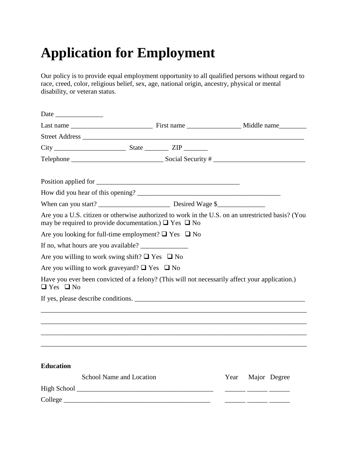## **Application for Employment**

Our policy is to provide equal employment opportunity to all qualified persons without regard to race, creed, color, religious belief, sex, age, national origin, ancestry, physical or mental disability, or veteran status.

| may be required to provide documentation.) $\Box$ Yes $\Box$ No | Are you a U.S. citizen or otherwise authorized to work in the U.S. on an unrestricted basis? (You |
|-----------------------------------------------------------------|---------------------------------------------------------------------------------------------------|
| Are you looking for full-time employment? $\Box$ Yes $\Box$ No  |                                                                                                   |
|                                                                 |                                                                                                   |
| Are you willing to work swing shift? $\Box$ Yes $\Box$ No       |                                                                                                   |
| Are you willing to work graveyard? $\Box$ Yes $\Box$ No         |                                                                                                   |
| $\Box$ Yes $\Box$ No                                            | Have you ever been convicted of a felony? (This will not necessarily affect your application.)    |
|                                                                 | If yes, please describe conditions.                                                               |
|                                                                 |                                                                                                   |
|                                                                 |                                                                                                   |
|                                                                 |                                                                                                   |
| <b>Education</b>                                                |                                                                                                   |
| School Name and Location                                        | Major Degree<br>Year                                                                              |
|                                                                 |                                                                                                   |
|                                                                 |                                                                                                   |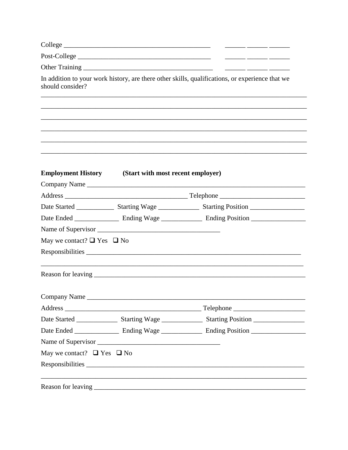|                                      | In addition to your work history, are there other skills, qualifications, or experience that we |
|--------------------------------------|-------------------------------------------------------------------------------------------------|
|                                      |                                                                                                 |
|                                      |                                                                                                 |
|                                      |                                                                                                 |
|                                      |                                                                                                 |
|                                      |                                                                                                 |
|                                      |                                                                                                 |
|                                      | Company Name                                                                                    |
|                                      |                                                                                                 |
|                                      |                                                                                                 |
|                                      |                                                                                                 |
|                                      |                                                                                                 |
| May we contact? $\Box$ Yes $\Box$ No |                                                                                                 |
|                                      |                                                                                                 |
|                                      |                                                                                                 |
|                                      |                                                                                                 |
|                                      |                                                                                                 |
|                                      |                                                                                                 |
|                                      |                                                                                                 |
|                                      |                                                                                                 |
| May we contact? $\Box$ Yes $\Box$ No |                                                                                                 |
|                                      |                                                                                                 |
|                                      | <b>Employment History</b> (Start with most recent employer)<br>Company Name                     |